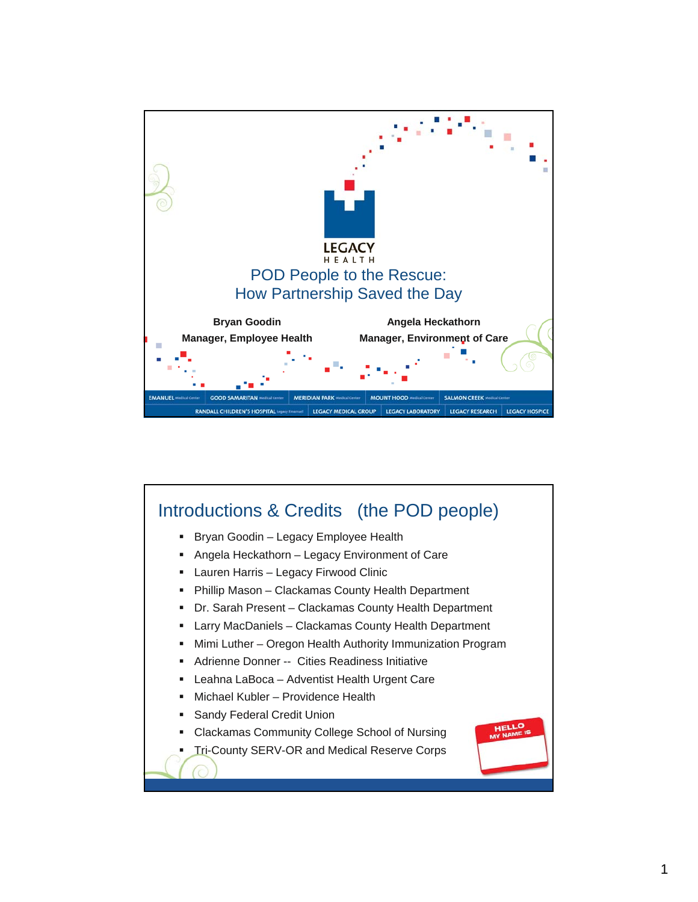

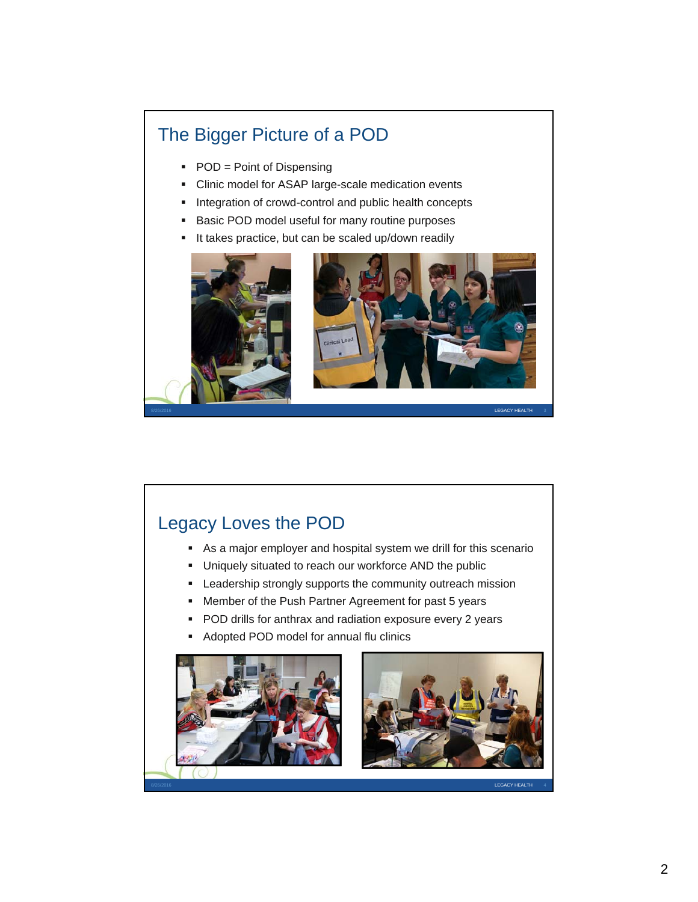## The Bigger Picture of a POD

- POD = Point of Dispensing
- Clinic model for ASAP large-scale medication events
- **Integration of crowd-control and public health concepts**
- **Basic POD model useful for many routine purposes**
- It takes practice, but can be scaled up/down readily





## Legacy Loves the POD

- As a major employer and hospital system we drill for this scenario
- Uniquely situated to reach our workforce AND the public
- Leadership strongly supports the community outreach mission
- **Member of the Push Partner Agreement for past 5 years**
- **POD drills for anthrax and radiation exposure every 2 years**
- Adopted POD model for annual flu clinics

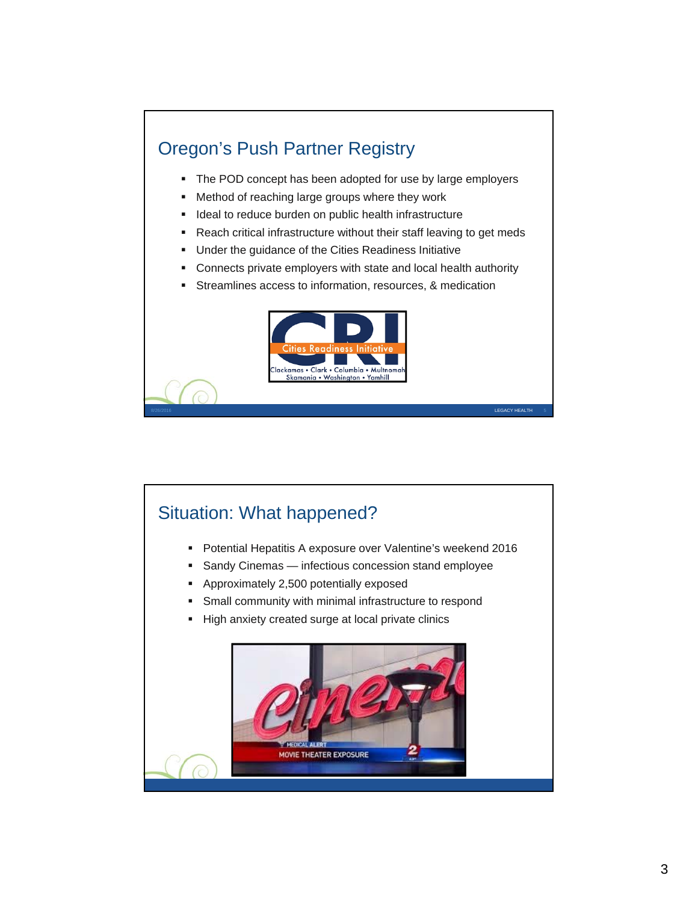## Oregon's Push Partner Registry

- The POD concept has been adopted for use by large employers
- **Method of reaching large groups where they work**
- **IDEAL 19** Ideal to reduce burden on public health infrastructure
- Reach critical infrastructure without their staff leaving to get meds
- **Under the guidance of the Cities Readiness Initiative**
- **Connects private employers with state and local health authority**
- Streamlines access to information, resources, & medication



8/26/2016 LEGACY HEALTH 5

## Situation: What happened?

- Potential Hepatitis A exposure over Valentine's weekend 2016
- Sandy Cinemas infectious concession stand employee
- Approximately 2,500 potentially exposed
- Small community with minimal infrastructure to respond
- High anxiety created surge at local private clinics

![](_page_2_Picture_15.jpeg)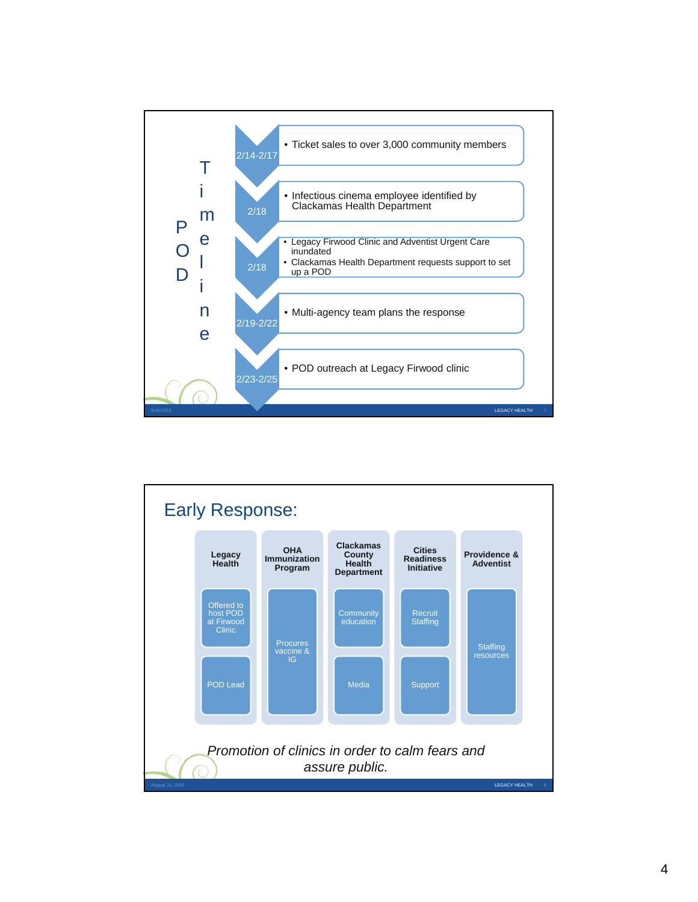![](_page_3_Figure_0.jpeg)

![](_page_3_Figure_1.jpeg)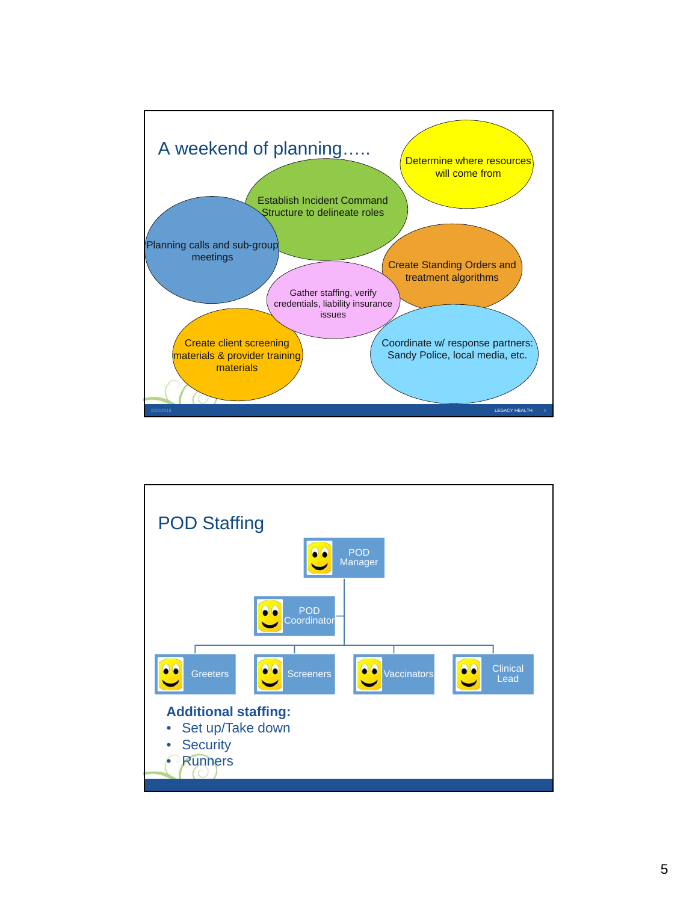![](_page_4_Figure_0.jpeg)

![](_page_4_Figure_1.jpeg)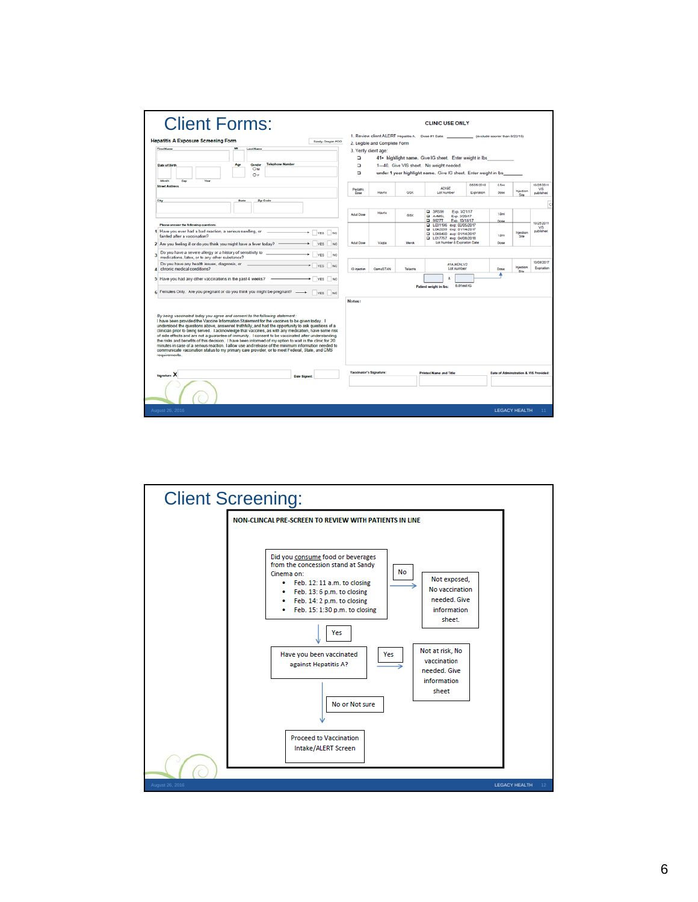| <b>Client Forms:</b>                                                                                                                                                                                                                                                                                                                                                                                                                                                                                                                                                                                                                                                                                                                                                                                                                  |                                                                      |                              |            | <b>CLINIC USE ONLY</b>                                                                                            |                               |                                        |                            |                                 |
|---------------------------------------------------------------------------------------------------------------------------------------------------------------------------------------------------------------------------------------------------------------------------------------------------------------------------------------------------------------------------------------------------------------------------------------------------------------------------------------------------------------------------------------------------------------------------------------------------------------------------------------------------------------------------------------------------------------------------------------------------------------------------------------------------------------------------------------|----------------------------------------------------------------------|------------------------------|------------|-------------------------------------------------------------------------------------------------------------------|-------------------------------|----------------------------------------|----------------------------|---------------------------------|
| <b>Hepatitis A Exposure Screening Form</b><br>Sandy, Oregon POO                                                                                                                                                                                                                                                                                                                                                                                                                                                                                                                                                                                                                                                                                                                                                                       |                                                                      | 2. Legible and Complete Form |            | 1. Review client ALERT Hepatitis A. Dose #1 Date: _____________ (exclude sooner than 8/22/15)                     |                               |                                        |                            |                                 |
| <b>First Name</b><br><b>Last Name</b>                                                                                                                                                                                                                                                                                                                                                                                                                                                                                                                                                                                                                                                                                                                                                                                                 |                                                                      | 3. Verify client age:        |            |                                                                                                                   |                               |                                        |                            |                                 |
|                                                                                                                                                                                                                                                                                                                                                                                                                                                                                                                                                                                                                                                                                                                                                                                                                                       | o<br>41+ highlight name. Give IG sheet. Enter weight in lbs          |                              |            |                                                                                                                   |                               |                                        |                            |                                 |
| <b>Telephone Number</b><br>Date of Birth<br>Gender                                                                                                                                                                                                                                                                                                                                                                                                                                                                                                                                                                                                                                                                                                                                                                                    | o<br>1-40. Give VIS sheet. No weight needed.                         |                              |            |                                                                                                                   |                               |                                        |                            |                                 |
| OM                                                                                                                                                                                                                                                                                                                                                                                                                                                                                                                                                                                                                                                                                                                                                                                                                                    | o<br>under 1 year highlight name. Give IG sheet. Enter weight in Ibs |                              |            |                                                                                                                   |                               |                                        |                            |                                 |
| $\circ$ r<br>Morth<br><b>Day</b><br>Year                                                                                                                                                                                                                                                                                                                                                                                                                                                                                                                                                                                                                                                                                                                                                                                              |                                                                      |                              |            |                                                                                                                   |                               |                                        |                            |                                 |
| <b>Street Address</b>                                                                                                                                                                                                                                                                                                                                                                                                                                                                                                                                                                                                                                                                                                                                                                                                                 | Pediatric<br>Dose                                                    | Havrix                       | <b>OSK</b> | A2XSE<br><b>Lot Number</b>                                                                                        | 05/05/2018<br>Expiration      | 0.5ml<br>Dosa                          | Injection<br>She           | 10/25/2011<br>MS.<br>published  |
| City<br><b>State</b><br>Zip Code                                                                                                                                                                                                                                                                                                                                                                                                                                                                                                                                                                                                                                                                                                                                                                                                      |                                                                      |                              |            |                                                                                                                   |                               |                                        |                            |                                 |
|                                                                                                                                                                                                                                                                                                                                                                                                                                                                                                                                                                                                                                                                                                                                                                                                                                       |                                                                      |                              |            |                                                                                                                   |                               |                                        |                            | lo                              |
|                                                                                                                                                                                                                                                                                                                                                                                                                                                                                                                                                                                                                                                                                                                                                                                                                                       | Adult Dose                                                           | <b>Havrix</b>                | GSK        | <b>Q 3RS99</b><br><b>Q A4MSL</b><br>Exp. 3/20/17<br><b>Q 9927T</b>                                                | Exp. 3/21/17<br>Exp. 10/18/17 | 1.0ml<br>Dose                          |                            |                                 |
| Please answer the following questions.<br>1 Have you ever had a bad reaction, a serious swelling, or<br>$\n  Yes No\n$<br>fainted after a vaccination?                                                                                                                                                                                                                                                                                                                                                                                                                                                                                                                                                                                                                                                                                |                                                                      |                              |            | 2 L031196 exp: 02/05/2017<br>Q 1.042039 exp: 01/14/2017<br>C LO48460 exp: 01/14/2017<br>2 L017757 exp: 04/08/2018 |                               | 1.0ml                                  | Injection<br><b>Silver</b> | 10/25/2011<br>VIS.<br>published |
| YES NO<br>2 Are you feeling ill or do you think you might have a fever today?                                                                                                                                                                                                                                                                                                                                                                                                                                                                                                                                                                                                                                                                                                                                                         | <b>Adult Dose</b>                                                    | Vasta                        | Merch      | Lot Number & Expiration Date                                                                                      |                               | Dose                                   |                            |                                 |
| Do you have a severe allergy or a history of sensitivity to<br>YES NO<br>٥<br>medications, latex, or to any other substance?                                                                                                                                                                                                                                                                                                                                                                                                                                                                                                                                                                                                                                                                                                          |                                                                      |                              |            |                                                                                                                   |                               |                                        |                            |                                 |
| Do you have any health issues, diagnosis, or<br>YES<br>NO<br>chronic medical conditions?                                                                                                                                                                                                                                                                                                                                                                                                                                                                                                                                                                                                                                                                                                                                              | <b>IG</b> Injection                                                  | GamaSTAN                     | Telanvis   | A1AJ4ENLV2<br>Lot number                                                                                          |                               | Dose                                   | Injection<br><b>Site</b>   | 10/08/2017<br>Expiration        |
| VES NO<br>5 Have you had any other vaccinations in the past 4 weeks?<br>6 Females Only. Are you pregnant or do you think you might be pregnant? _______<br>VES NO                                                                                                                                                                                                                                                                                                                                                                                                                                                                                                                                                                                                                                                                     |                                                                      |                              |            | <b>Patient weight in lbs:</b>                                                                                     | 0.01ml IG                     |                                        |                            |                                 |
| By being vaccinated today you agree and consent to the following statement:<br>I have been provided the Vaccine Information Statement for the vaccines to be given today. I<br>understood the questions above, answered truthfully, and had the opportunity to ask questions of a<br>clinician prior to being served. I acknowledge that vaccines, as with any medication, have some risk<br>of side effects and are not a guarantee of immunity. I consent to be vaccinated after understanding<br>the risks and benefits of this decision. I have been informed of my option to wait in the clinic for 20<br>minutes in case of a serious reaction. I allow use and release of the minimum information needed to<br>communicate vaccination status to my primary care provider, or to meet Federal, State, and CMS<br>requirements. | Notes:                                                               |                              |            |                                                                                                                   |                               |                                        |                            |                                 |
| <b>Signature X</b><br><b>Date Signed</b>                                                                                                                                                                                                                                                                                                                                                                                                                                                                                                                                                                                                                                                                                                                                                                                              | Vaccinator's Signature:                                              |                              |            | <b>Printed Name and Title:</b>                                                                                    |                               | Date of Administration & VIS Provided: |                            |                                 |
|                                                                                                                                                                                                                                                                                                                                                                                                                                                                                                                                                                                                                                                                                                                                                                                                                                       |                                                                      |                              |            |                                                                                                                   |                               |                                        |                            |                                 |
| August 26, 2016                                                                                                                                                                                                                                                                                                                                                                                                                                                                                                                                                                                                                                                                                                                                                                                                                       |                                                                      |                              |            |                                                                                                                   |                               |                                        | <b>LEGACY HEALTH</b>       | 11                              |
|                                                                                                                                                                                                                                                                                                                                                                                                                                                                                                                                                                                                                                                                                                                                                                                                                                       |                                                                      |                              |            |                                                                                                                   |                               |                                        |                            |                                 |

![](_page_5_Figure_1.jpeg)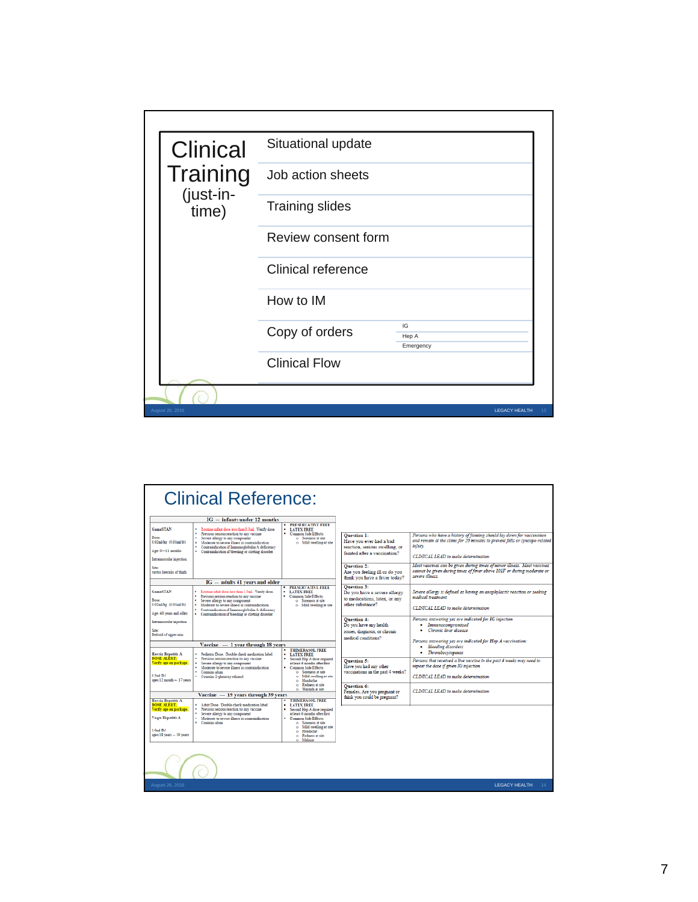| <b>Clinical</b>    | Situational update        |                          |                      |
|--------------------|---------------------------|--------------------------|----------------------|
| Training           | Job action sheets         |                          |                      |
| (just-in-<br>time) | <b>Training slides</b>    |                          |                      |
|                    | Review consent form       |                          |                      |
|                    | <b>Clinical reference</b> |                          |                      |
|                    | How to IM                 |                          |                      |
|                    | Copy of orders            | IG<br>Hep A<br>Emergency |                      |
|                    | <b>Clinical Flow</b>      |                          |                      |
|                    |                           |                          |                      |
| August 26, 2016    |                           |                          | <b>LEGACY HEALTH</b> |

|                                                                                                                                  | <b>Clinical Reference:</b>                                                                                                                                                                                                                                                                           |                                                                                                                                                                                                                                     |                                                                                                                 |                                                                                                                                                                                                         |  |  |
|----------------------------------------------------------------------------------------------------------------------------------|------------------------------------------------------------------------------------------------------------------------------------------------------------------------------------------------------------------------------------------------------------------------------------------------------|-------------------------------------------------------------------------------------------------------------------------------------------------------------------------------------------------------------------------------------|-----------------------------------------------------------------------------------------------------------------|---------------------------------------------------------------------------------------------------------------------------------------------------------------------------------------------------------|--|--|
|                                                                                                                                  | IG -- infants under 12 months                                                                                                                                                                                                                                                                        | <b>TRESERVATIVE FREE</b>                                                                                                                                                                                                            |                                                                                                                 |                                                                                                                                                                                                         |  |  |
| <b>GamaSTAN</b><br>Dose:<br>0.02ml/kg (0.01ml/fb)<br>Age: 0-11 months<br>Intramuscular injection                                 | " Routine infant dose less than 0.3ml. Verify dose.<br>· Previous serious reaction to any vaccine<br>· Severe allergy to any component<br>Moderate to severe illness is contraindication<br>· Contraindication if Immunoglobulin A deficiency<br>· Contraindication if bleeding or clotting disorder | <b>LATEX FREE</b><br>* Common Side Effects:<br>o Soreness at site<br>o Mild swelling at site                                                                                                                                        | <b>Question 1:</b><br>Have you ever had a bad<br>reaction, serious swelling, or<br>fainted after a vaccination? | Persons who have a history of fainting should lay down for vaccination<br>and remain at the clinic for 20 minutes to prevent falls or syncope-related<br>injury.<br>CLINICAL LEAD to make determination |  |  |
| Site<br>vastus lateralis of thigh                                                                                                |                                                                                                                                                                                                                                                                                                      |                                                                                                                                                                                                                                     | <b>Ouestion 2:</b><br>Are vou feeling ill or do vou<br>think you have a fever today?                            | Most vaccines can be given during times of minor illness. Most vaccines<br>cannot be given during times of fever above 101F or during moderate or<br>severe illness.                                    |  |  |
|                                                                                                                                  | IG - adults 41 years and older                                                                                                                                                                                                                                                                       |                                                                                                                                                                                                                                     |                                                                                                                 |                                                                                                                                                                                                         |  |  |
| <b>GamaSTAN</b><br>Dose:<br>0.02ml/kg (0.01ml/b)<br>Age: 40 years and older                                                      | . Routine adult dose less than 1.5ml. Verify dose.<br>Previous serious reaction to any vaccine<br>Severe allergy to any component<br>· Moderate to severe illness is contraindication<br>* Contraindication if Immunoelobulin A deficiency                                                           | <b>• PRESERVATIVE FREE</b><br><b>· LATEX FREE</b><br>· Common Side Effects:<br>o Soreness at site<br>o Mild swelling at site                                                                                                        | <b>Ouestion 3:</b><br>Do you have a severe allergy<br>to medications, latex, or any<br>other substance?         | Severe allergy is defined as having an anaphylactic reaction or seeking<br>medical treatment.<br>CLINICAL LEAD to make determination                                                                    |  |  |
| Intramuscular injection<br>Deltoid of upper arm                                                                                  | · Contraindication if bleeding or clotting disorder                                                                                                                                                                                                                                                  |                                                                                                                                                                                                                                     | <b>Ouestion 4:</b><br>Do you have any health<br>issues, diagnosis, or chronic<br>medical conditions?            | Persons answering yes are indicated for IG injection<br>Immunocompromised<br>• Chronic liver disease                                                                                                    |  |  |
|                                                                                                                                  | Vaccine - 1 year through 18 years                                                                                                                                                                                                                                                                    |                                                                                                                                                                                                                                     |                                                                                                                 | Persons answering yes are indicated for Hep A vaccination:<br>· Bleeding disorders                                                                                                                      |  |  |
| Havrix Hepatitis A                                                                                                               | Pediatric Dose. Double check medication label                                                                                                                                                                                                                                                        | <b>THIMERASOL FREE</b><br><b>LATEX FREE</b>                                                                                                                                                                                         |                                                                                                                 | Thrombocytopenia<br>٠                                                                                                                                                                                   |  |  |
| <b>DOSE ALERT.</b><br>Verify age on package.<br>0.5ml B4<br>ages 12 month -- 17 years                                            | Previous serious reaction to any vaccine<br><sup>1</sup> Severe allergy to any component<br>* Moderate to severe illness is contraindication<br>· Contains alum<br>· Contains 2-phenoxy ethanol                                                                                                      | Second Hep A dose required<br>at least 6 months after first<br>Common Side Effects:<br>o Soreness at site<br>o Mild ewelling at site<br>o Headache                                                                                  | <b>Ouestion 5:</b><br>Have you had any other<br>vaccinations in the past 4 weeks?                               | Persons that received a live vaccine in the past 4 weeks may need to<br>repeat the dose if given IG injection.<br>CLINICAL LEAD to make determination                                                   |  |  |
|                                                                                                                                  |                                                                                                                                                                                                                                                                                                      | o Redness at site<br>o Warmth at site                                                                                                                                                                                               | <b>Ouestion 6:</b>                                                                                              |                                                                                                                                                                                                         |  |  |
|                                                                                                                                  | Vaccine --- 19 years through 39 years                                                                                                                                                                                                                                                                |                                                                                                                                                                                                                                     | Females. Are you pregnant or<br>think you could be pregnant?                                                    | CLINICAL LEAD to make determination                                                                                                                                                                     |  |  |
| Havrix Hepatitis A<br><b>DOSE ALERT.</b><br>Verify age on package.<br>Vaqta Hepatitit A<br>1.0ml PM<br>ages 18 years -- 39 years | Adult Dose. Double check medication label<br>Previous serious reaction to any vaccine<br>٠<br>· Severe allergy to any component<br>Moderate to severe illness is contraindication<br>· Contains alum                                                                                                 | <b>THIMERASOL FREE</b><br><b>LATEX FREE</b><br>Second Hep A dose required<br>at least 6 months after first<br>· Common Side Effects:<br>o Soreness at site<br>o Mild swelling at site<br>o Headache<br>o Redness at site<br>Malaise |                                                                                                                 |                                                                                                                                                                                                         |  |  |
|                                                                                                                                  |                                                                                                                                                                                                                                                                                                      |                                                                                                                                                                                                                                     |                                                                                                                 |                                                                                                                                                                                                         |  |  |
| August 26, 2016                                                                                                                  |                                                                                                                                                                                                                                                                                                      |                                                                                                                                                                                                                                     |                                                                                                                 | <b>I FGACY HEALTH</b><br>14                                                                                                                                                                             |  |  |
|                                                                                                                                  |                                                                                                                                                                                                                                                                                                      |                                                                                                                                                                                                                                     |                                                                                                                 |                                                                                                                                                                                                         |  |  |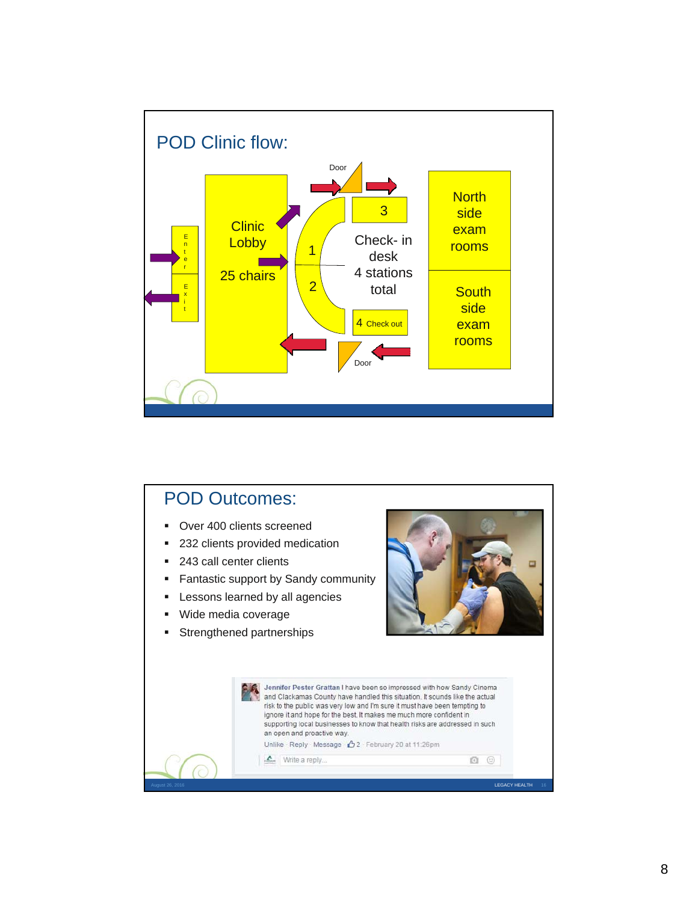![](_page_7_Figure_0.jpeg)

![](_page_7_Picture_1.jpeg)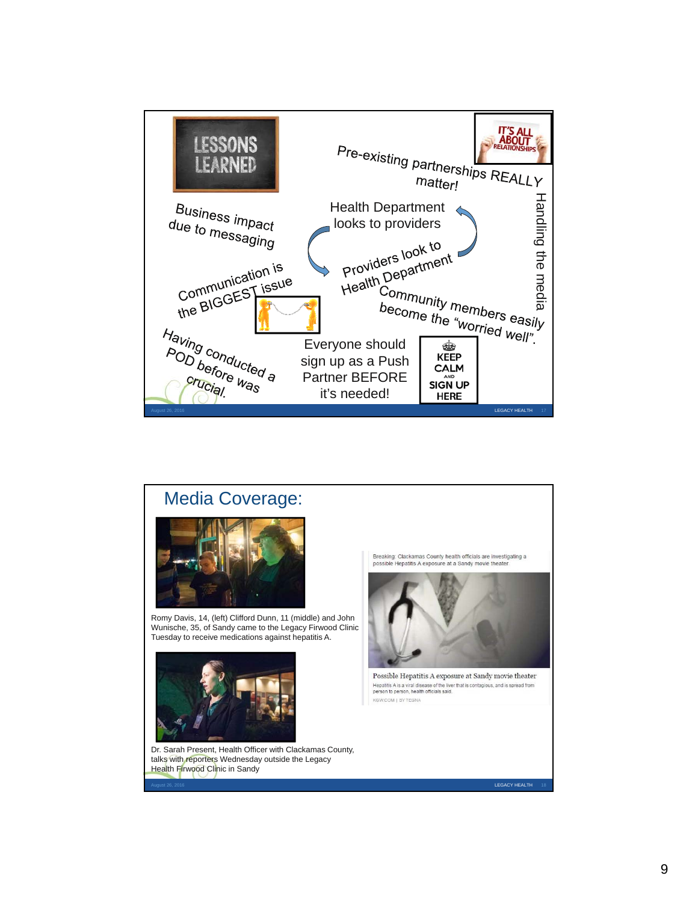![](_page_8_Figure_0.jpeg)

![](_page_8_Picture_1.jpeg)